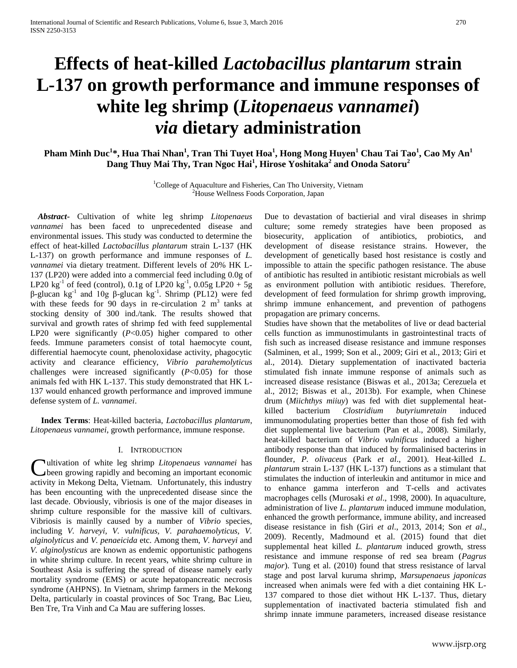# **Effects of heat-killed** *Lactobacillus plantarum* **strain L-137 on growth performance and immune responses of white leg shrimp (***Litopenaeus vannamei***)**  *via* **dietary administration**

**Pham Minh Duc<sup>1</sup> \*, Hua Thai Nhan<sup>1</sup> , Tran Thi Tuyet Hoa<sup>1</sup> , Hong Mong Huyen<sup>1</sup> Chau Tai Tao<sup>1</sup> , Cao My An<sup>1</sup> Dang Thuy Mai Thy, Tran Ngoc Hai<sup>1</sup> , Hirose Yoshitaka<sup>2</sup> and Onoda Satoru<sup>2</sup>**

> $1$ College of Aquaculture and Fisheries, Can Tho University, Vietnam <sup>2</sup>House Wellness Foods Corporation, Japan

*Abstract***-** Cultivation of white leg shrimp *Litopenaeus vannamei* has been faced to unprecedented disease and environmental issues. This study was conducted to determine the effect of heat-killed *Lactobacillus plantarum* strain L-137 (HK L-137) on growth performance and immune responses of *L. vannamei* via dietary treatment. Different levels of 20% HK L-137 (LP20) were added into a commercial feed including 0.0g of LP20  $\text{kg}^{-1}$  of feed (control), 0.1g of LP20  $\text{kg}^{-1}$ , 0.05g LP20 + 5g  $β$ -glucan kg<sup>-1</sup> and 10g  $β$ -glucan kg<sup>-1</sup>. Shrimp (PL12) were fed with these feeds for 90 days in re-circulation  $2 \text{ m}^3$  tanks at stocking density of 300 ind./tank. The results showed that survival and growth rates of shrimp fed with feed supplemental LP20 were significantly (*P*<0.05) higher compared to other feeds. Immune parameters consist of total haemocyte count, differential haemocyte count, phenoloxidase activity, phagocytic activity and clearance efficiency, *Vibrio parahemolyticus* challenges were increased significantly (*P*<0.05) for those animals fed with HK L-137. This study demonstrated that HK L-137 would enhanced growth performance and improved immune defense system of *L. vannamei*.

 **Index Terms**: Heat-killed bacteria, *Lactobacillus plantarum*, *Litopenaeus vannamei*, growth performance, immune response.

### I. INTRODUCTION

ultivation of white leg shrimp *Litopenaeus vannamei* has Cultivation of white leg shrimp *Litopenaeus vannamei* has been growing rapidly and becoming an important economic activity in Mekong Delta, Vietnam. Unfortunately, this industry has been encounting with the unprecedented disease since the last decade. Obviously, vibriosis is one of the major diseases in shrimp culture responsible for the massive kill of cultivars. Vibriosis is mainlly caused by a number of *Vibrio* species, including *V. harveyi, V. vulnificus, V. parahaemolyticus, V. alginolyticus* and *V. penaeicida* etc. Among them, *V. harveyi* and *V. alginolysticus* are known as endemic opportunistic pathogens in white shrimp culture. In recent years, white shrimp culture in Southeast Asia is suffering the spread of disease namely early mortality syndrome (EMS) or acute hepatopancreatic necrosis syndrome (AHPNS). In Vietnam, shrimp farmers in the Mekong Delta, particularly in coastal provinces of Soc Trang, Bac Lieu, Ben Tre, Tra Vinh and Ca Mau are suffering losses.

Due to devastation of bactierial and viral diseases in shrimp culture; some remedy strategies have been proposed as biosecurity, application of antibiotics, probiotics, and development of disease resistance strains. However, the development of genetically based host resistance is costly and impossible to attain the specific pathogen resistance. The abuse of antibiotic has resulted in antibiotic resistant microbials as well as environment pollution with antibiotic residues. Therefore, development of feed formulation for shrimp growth improving, shrimp immune enhancement, and prevention of pathogens propagation are primary concerns.

Studies have shown that the metabolites of live or dead bacterial cells function as immunostimulants in gastrointestinal tracts of fish such as increased disease resistance and immune responses (Salminen, et al., 1999; Son et al., 2009; Giri et al., 2013; Giri et al., 2014). Dietary supplementation of inactivated bacteria stimulated fish innate immune response of animals such as increased disease resistance (Biswas et al., 2013a; Cerezuela et al., 2012; Biswas et al., 2013b). For example, when Chinese drum (*Miichthys miiuy*) was fed with diet supplemental heatkilled bacterium *Clostridium butyriumretain* induced immunomodulating properties better than those of fish fed with diet supplemental live bacterium (Pan et al., 2008). Similarly, heat-killed bacterium of *Vibrio vulnificus* induced a higher antibody response than that induced by formalinised bacterins in flounder, *P. olivaceus* (Park *et al*., 2001). Heat-killed *L. plantarum* strain L-137 (HK L-137) functions as a stimulant that stimulates the induction of interleukin and antitumor in mice and to enhance gamma interferon and T-cells and activates macrophages cells (Murosaki *et al*., 1998, 2000). In aquaculture, administration of live *L. plantarum* induced immune modulation, enhanced the growth performance, immune ability, and increased disease resistance in fish (Giri *et al*., 2013, 2014; Son *et al*., 2009). Recently, Madmound et al. (2015) found that diet supplemental heat killed *L. plantarum* induced growth, stress resistance and immune response of red sea bream (*Pagrus major*). Tung et al. (2010) found that stress resistance of larval stage and post larval kuruma shrimp, *Marsupenaeus japonicas* increased when animals were fed with a diet containing HK L-137 compared to those diet without HK L-137. Thus, dietary supplementation of inactivated bacteria stimulated fish and shrimp innate immune parameters, increased disease resistance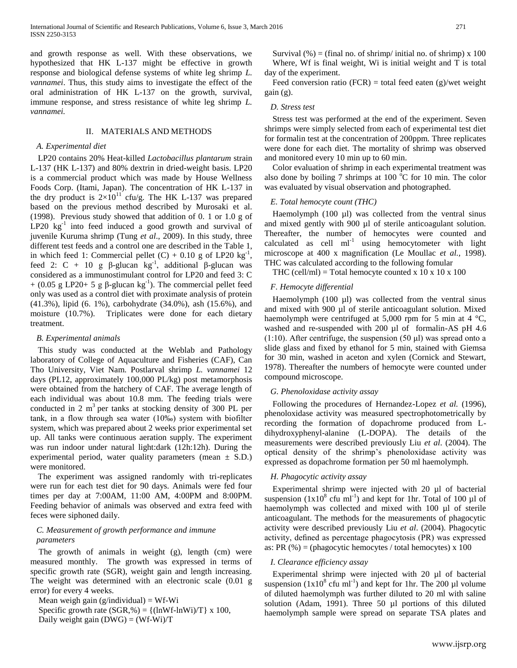and growth response as well. With these observations, we hypothesized that HK L-137 might be effective in growth response and biological defense systems of white leg shrimp *L. vannamei*. Thus, this study aims to investigate the effect of the oral administration of HK L-137 on the growth, survival, immune response, and stress resistance of white leg shrimp *L. vannamei.*

#### II. MATERIALS AND METHODS

#### *A. Experimental diet*

LP20 contains 20% Heat-killed *Lactobacillus plantarum* strain L-137 (HK L-137) and 80% dextrin in dried-weight basis. LP20 is a commercial product which was made by House Wellness Foods Corp. (Itami, Japan). The concentration of HK L-137 in the dry product is  $2\times10^{11}$  cfu/g. The HK L-137 was prepared based on the previous method described by Murosaki et al. (1998). Previous study showed that addition of 0. 1 or 1.0 g of  $LP20$   $kg^{-1}$  into feed induced a good growth and survival of juvenile Kuruma shrimp (Tung *et al*., 2009). In this study, three different test feeds and a control one are described in the Table 1, in which feed 1: Commercial pellet  $(C) + 0.10$  g of LP20 kg<sup>-1</sup>, feed 2: C + 10 g β-glucan kg<sup>-1</sup>, additional β-glucan was considered as a immunostimulant control for LP20 and feed 3: C + (0.05 g LP20+ 5 g  $\beta$ -glucan kg<sup>-1</sup>). The commercial pellet feed only was used as a control diet with proximate analysis of protein (41.3%), lipid (6. 1%), carbohydrate (34.0%), ash (15.6%), and moisture (10.7%). Triplicates were done for each dietary treatment.

## *B. Experimental animals*

This study was conducted at the Weblab and Pathology laboratory of College of Aquaculture and Fisheries (CAF), Can Tho University, Viet Nam. Postlarval shrimp *L. vannamei* 12 days (PL12, approximately 100,000 PL/kg) post metamorphosis were obtained from the hatchery of CAF. The average length of each individual was about 10.8 mm. The feeding trials were conducted in 2  $m<sup>3</sup>$  per tanks at stocking density of 300 PL per tank, in a flow through sea water (10‰) system with biofilter system, which was prepared about 2 weeks prior experimental set up. All tanks were continuous aeration supply. The experiment was run indoor under natural light:dark (12h:12h). During the experimental period, water quality parameters (mean  $\pm$  S.D.) were monitored.

The experiment was assigned randomly with tri-replicates were run for each test diet for 90 days. Animals were fed four times per day at 7:00AM, 11:00 AM, 4:00PM and 8:00PM. Feeding behavior of animals was observed and extra feed with feces were siphoned daily.

# *C. Measurement of growth performance and immune parameters*

The growth of animals in weight (g), length (cm) were measured monthly. The growth was expressed in terms of specific growth rate (SGR), weight gain and length increasing. The weight was determined with an electronic scale (0.01 g error) for every 4 weeks.

Mean weigh gain (g/individual) = Wf-Wi

Specific growth rate  $(SGR, %) = \{(lnWf - lnWi)/T\} \times 100$ , Daily weight gain  $(DWG) = (Wf-Wi)/T$ 

Survival  $(\%)$  = (final no. of shrimp/ initial no. of shrimp) x 100 Where, Wf is final weight, Wi is initial weight and T is total day of the experiment.

Feed conversion ratio (FCR) = total feed eaten (g)/wet weight gain (g).

# *D. Stress test*

Stress test was performed at the end of the experiment. Seven shrimps were simply selected from each of experimental test diet for formalin test at the concentration of 200ppm. Three replicates were done for each diet. The mortality of shrimp was observed and monitored every 10 min up to 60 min.

Color evaluation of shrimp in each experimental treatment was also done by boiling 7 shrimps at 100  $^{\circ}$ C for 10 min. The color was evaluated by visual observation and photographed.

# *E. Total hemocyte count (THC)*

Haemolymph  $(100 \mu l)$  was collected from the ventral sinus and mixed gently with 900 µl of sterile anticoagulant solution. Thereafter, the number of hemocytes were counted and calculated as cell  $ml^{-1}$  using hemocytometer with light microscope at 400 x magnification (Le Moullac *et al.,* 1998). THC was calculated according to the following fomular

THC (cell/ml) = Total hemocyte counted x 10 x 10 x 100

# *F. Hemocyte differential*

Haemolymph  $(100 \mu l)$  was collected from the ventral sinus and mixed with 900 µl of sterile anticoagulant solution. Mixed haemolymph were centrifuged at 5,000 rpm for 5 min at 4  $^{\circ}C$ , washed and re-suspended with 200 µl of formalin-AS pH 4.6  $(1:10)$ . After centrifuge, the suspension  $(50 \mu l)$  was spread onto a slide glass and fixed by ethanol for 5 min, stained with Giemsa for 30 min, washed in aceton and xylen (Cornick and Stewart, 1978). Thereafter the numbers of hemocyte were counted under compound microscope.

### *G. Phenoloxidase activity assay*

Following the procedures of Hernandez-Lopez *et al.* (1996), phenoloxidase activity was measured spectrophotometrically by recording the formation of dopachrome produced from Ldihydroxyphenyl-alanine (L-DOPA). The details of the measurements were described previously Liu *et al*. (2004). The optical density of the shrimp's phenoloxidase activity was expressed as dopachrome formation per 50 ml haemolymph.

### *H. Phagocytic activity assay*

Experimental shrimp were injected with 20 µl of bacterial suspension  $(1x10^8 \text{ cfu} \text{ ml}^{-1})$  and kept for 1hr. Total of 100 µl of haemolymph was collected and mixed with 100 µl of sterile anticoagulant. The methods for the measurements of phagocytic activity were described previously Liu *et al*. (2004). Phagocytic activity, defined as percentage phagocytosis (PR) was expressed as: PR  $(\%)$  = (phagocytic hemocytes / total hemocytes) x 100

# *I. Clearance efficiency assay*

Experimental shrimp were injected with 20 µl of bacterial suspension  $(1x10^8 \text{ cfu m}^{-1})$  and kept for 1hr. The 200 µl volume of diluted haemolymph was further diluted to 20 ml with saline solution (Adam, 1991). Three 50 µl portions of this diluted haemolymph sample were spread on separate TSA plates and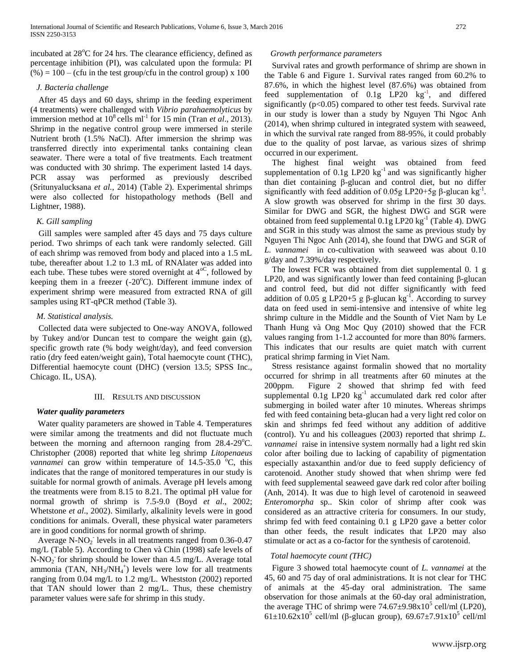incubated at  $28^{\circ}$ C for 24 hrs. The clearance efficiency, defined as percentage inhibition (PI), was calculated upon the formula: PI  $(\%) = 100 - (c$ fu in the test group/cfu in the control group) x 100

#### *J. Bacteria challenge*

After 45 days and 60 days, shrimp in the feeding experiment (4 treatments) were challenged with *Vibrio parahaemolyticus* by immersion method at  $10^8$  cells ml<sup>-1</sup> for 15 min (Tran *et al.*, 2013). Shrimp in the negative control group were immersed in sterile Nutrient broth (1.5% NaCl). After immersion the shrimp was transferred directly into experimental tanks containing clean seawater. There were a total of five treatments. Each treatment was conducted with 30 shrimp. The experiment lasted 14 days. PCR assay was performed as previously described (Sritunyalucksana *et al.*, 2014) (Table 2). Experimental shrimps were also collected for histopathology methods (Bell and Lightner, 1988).

# *K. Gill sampling*

Gill samples were sampled after 45 days and 75 days culture period. Two shrimps of each tank were randomly selected. Gill of each shrimp was removed from body and placed into a 1.5 mL tube, thereafter about 1.2 to 1.3 mL of RNAlater was added into each tube. These tubes were stored overnight at  $4^{\circ}$ <sup>C</sup>, followed by keeping them in a freezer (-20°C). Different immune index of experiment shrimp were measured from extracted RNA of gill samples using RT-qPCR method (Table 3).

#### *M. Statistical analysis.*

Collected data were subjected to One-way ANOVA, followed by Tukey and/or Duncan test to compare the weight gain (g), specific growth rate (% body weight/day), and feed conversion ratio (dry feed eaten/weight gain), Total haemocyte count (THC), Differential haemocyte count (DHC) (version 13.5; SPSS Inc., Chicago. IL, USA).

### III. RESULTS AND DISCUSSION

## *Water quality parameters*

Water quality parameters are showed in Table 4. Temperatures were similar among the treatments and did not fluctuate much between the morning and afternoon ranging from  $28.4{\text -}29^{\circ}\text{C}$ . Christopher (2008) reported that white leg shrimp *Litopenaeus vannamei* can grow within temperature of 14.5-35.0 °C, this indicates that the range of monitored temperatures in our study is suitable for normal growth of animals. Average pH levels among the treatments were from 8.15 to 8.21. The optimal pH value for normal growth of shrimp is 7.5-9.0 (Boyd *et al*., 2002; Whetstone *et al*., 2002). Similarly, alkalinity levels were in good conditions for animals. Overall, these physical water parameters are in good conditions for normal growth of shrimp.

Average N-NO<sub>2</sub> levels in all treatments ranged from  $0.36$ -0.47 mg/L (Table 5). According to Chen và Chin (1998) safe levels of N-NO<sub>2</sub> for shrimp should be lower than 4.5 mg/L. Average total ammonia (TAN,  $NH_3/NH_4^+$ ) levels were low for all treatments ranging from 0.04 mg/L to 1.2 mg/L. Whestston (2002) reported that TAN should lower than 2 mg/L. Thus, these chemistry parameter values were safe for shrimp in this study.

#### *Growth performance parameters*

Survival rates and growth performance of shrimp are shown in the Table 6 and Figure 1. Survival rates ranged from 60.2% to 87.6%, in which the highest level (87.6%) was obtained from feed supplementation of  $0.1g$  LP20  $kg^{-1}$ , and differed significantly  $(p<0.05)$  compared to other test feeds. Survival rate in our study is lower than a study by Nguyen Thi Ngoc Anh (2014), when shrimp cultured in integrated system with seaweed, in which the survival rate ranged from 88-95%, it could probably due to the quality of post larvae, as various sizes of shrimp occurred in our experiment.

The highest final weight was obtained from feed supplementation of  $0.1g$  LP20  $kg^{-1}$  and was significantly higher than diet containing β-glucan and control diet, but no differ significantly with feed addition of 0.05g LP20+5g  $\beta$ -glucan kg<sup>-1</sup>. A slow growth was observed for shrimp in the first 30 days. Similar for DWG and SGR, the highest DWG and SGR were obtained from feed supplemental  $0.1g$  LP20 kg<sup>-1</sup> (Table 4). DWG and SGR in this study was almost the same as previous study by Nguyen Thi Ngoc Anh (2014), she found that DWG and SGR of *L. vannamei* in co-cultivation with seaweed was about 0.10 g/day and 7.39%/day respectively.

The lowest FCR was obtained from diet supplemental 0. 1 g LP20, and was significantly lower than feed containing β-glucan and control feed, but did not differ significantly with feed addition of 0.05 g LP20+5 g  $\beta$ -glucan kg<sup>-1</sup>. According to survey data on feed used in semi-intensive and intensive of white leg shrimp culture in the Middle and the Sounth of Viet Nam by Le Thanh Hung và Ong Moc Quy (2010) showed that the FCR values ranging from 1-1.2 accounted for more than 80% farmers. This indicates that our results are quiet match with current pratical shrimp farming in Viet Nam.

Stress resistance against formalin showed that no mortality occurred for shrimp in all treatments after 60 minutes at the 200ppm. Figure 2 showed that shrimp fed with feed supplemental 0.1g LP20 kg<sup>-1</sup> accumulated dark red color after submerging in boiled water after 10 minutes. Whereas shrimps fed with feed containing beta-glucan had a very light red color on skin and shrimps fed feed without any addition of additive (control). Yu and his colleagues (2003) reported that shrimp *L. vannamei* raise in intensive system normally had a light red skin color after boiling due to lacking of capability of pigmentation especially astaxanthin and/or due to feed supply deficiency of carotenoid. Another study showed that when shrimp were fed with feed supplemental seaweed gave dark red color after boiling (Anh, 2014). It was due to high level of carotenoid in seaweed *Enteromorpha* sp.. Skin color of shrimp after cook was considered as an attractive criteria for consumers. In our study, shrimp fed with feed containing 0.1 g LP20 gave a better color than other feeds, the result indicates that LP20 may also stimulate or act as a co-factor for the synthesis of carotenoid.

### *Total haemocyte count (THC)*

Figure 3 showed total haemocyte count of *L. vannamei* at the 45, 60 and 75 day of oral administrations. It is not clear for THC of animals at the 45-day oral administration. The same observation for those animals at the 60-day oral administration, the average THC of shrimp were  $74.67\pm9.98x10^5$  cell/ml (LP20), 61±10.62x10<sup>5</sup> cell/ml (β-glucan group), 69.67±7.91x10<sup>5</sup> cell/ml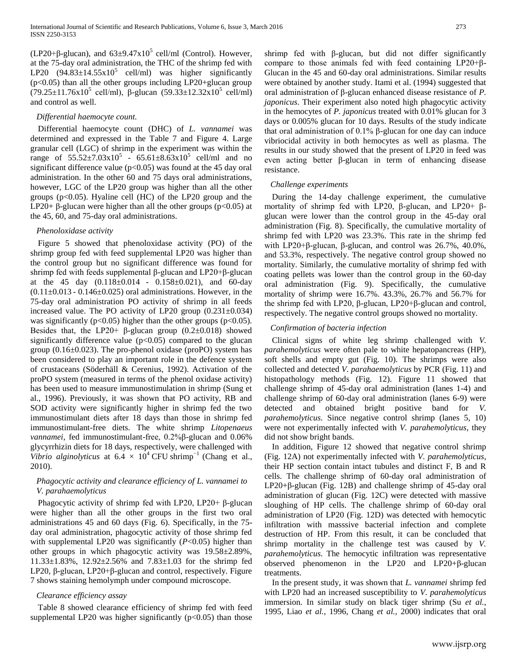(LP20+ $\beta$ -glucan), and  $63\pm9.47 \times 10^5$  cell/ml (Control). However, at the 75-day oral administration, the THC of the shrimp fed with LP20  $(94.83 \pm 14.55 \times 10^5$  cell/ml) was higher significantly (p<0.05) than all the other groups including LP20+glucan group  $(79.25 \pm 11.76 \times 10^5 \text{ cell/ml})$ , β-glucan  $(59.33 \pm 12.32 \times 10^5 \text{ cell/ml})$ and control as well.

#### *Differential haemocyte count.*

Differential haemocyte count (DHC) of *L. vannamei* was determined and expressed in the Table 7 and Figure 4. Large granular cell (LGC) of shrimp in the experiment was within the range of  $55.52 \pm 7.03 \times 10^5$  -  $65.61 \pm 8.63 \times 10^5$  cell/ml and no significant difference value ( $p<0.05$ ) was found at the 45 day oral administration. In the other 60 and 75 days oral administrations, however, LGC of the LP20 group was higher than all the other groups  $(p<0.05)$ . Hyaline cell (HC) of the LP20 group and the LP20+ β-glucan were higher than all the other groups ( $p<0.05$ ) at the 45, 60, and 75-day oral administrations.

#### *Phenoloxidase activity*

Figure 5 showed that phenoloxidase activity (PO) of the shrimp group fed with feed supplemental LP20 was higher than the control group but no significant difference was found for shrimp fed with feeds supplemental β-glucan and LP20+β-glucan at the 45 day  $(0.118 \pm 0.014 - 0.158 \pm 0.021)$ , and 60-day  $(0.11\pm0.013 - 0.146\pm0.025)$  oral administrations. However, in the 75-day oral administration PO activity of shrimp in all feeds increased value. The PO activity of LP20 group (0.231±0.034) was significantly ( $p<0.05$ ) higher than the other groups ( $p<0.05$ ). Besides that, the LP20+  $\beta$ -glucan group (0.2 $\pm$ 0.018) showed significantly difference value  $(p<0.05)$  compared to the glucan group  $(0.16\pm0.023)$ . The pro-phenol oxidase (proPO) system has been considered to play an important role in the defence system of crustaceans (Söderhäll & Cerenius, 1992). Activation of the proPO system (measured in terms of the phenol oxidase activity) has been used to measure immunostimulation in shrimp (Sung et al., 1996). Previously, it was shown that PO activity, RB and SOD activity were significantly higher in shrimp fed the two immunostimulant diets after 18 days than those in shrimp fed immunostimulant-free diets. The white shrimp *Litopenaeus vannamei*, fed immunostimulant-free, 0.2%β-glucan and 0.06% glycyrrhizin diets for 18 days, respectively, were challenged with *Vibrio alginolyticus* at  $6.4 \times 10^4$  CFU shrimp<sup>-1</sup> (Chang et al., 2010).

# *Phagocytic activity and clearance efficiency of L. vannamei to V. parahaemolyticus*

Phagocytic activity of shrimp fed with LP20, LP20+ β-glucan were higher than all the other groups in the first two oral administrations 45 and 60 days (Fig. 6). Specifically, in the 75 day oral administration, phagocytic activity of those shrimp fed with supplemental LP20 was significantly (*P*<0.05) higher than other groups in which phagocytic activity was 19.58±2.89%, 11.33±1.83%, 12.92±2.56% and 7.83±1.03 for the shrimp fed LP20, β-glucan, LP20+β-glucan and control, respectively. Figure 7 shows staining hemolymph under compound microscope.

### *Clearance efficiency assay*

Table 8 showed clearance efficiency of shrimp fed with feed supplemental LP20 was higher significantly  $(p<0.05)$  than those shrimp fed with β-glucan, but did not differ significantly compare to those animals fed with feed containing LP20+β-Glucan in the 45 and 60-day oral administrations. Similar results were obtained by another study. Itami et al. (1994) suggested that oral administration of β-glucan enhanced disease resistance of *P. japonicus*. Their experiment also noted high phagocytic activity in the hemocytes of *P. japonicus* treated with 0.01% glucan for 3 days or 0.005% glucan for 10 days. Results of the study indicate that oral administration of 0.1% β-glucan for one day can induce vibriocidal activity in both hemocytes as well as plasma. The results in our study showed that the present of LP20 in feed was even acting better β-glucan in term of enhancing disease resistance.

#### *Challenge experiments*

During the 14-day challenge experiment, the cumulative mortality of shrimp fed with LP20, β-glucan, and LP20+ βglucan were lower than the control group in the 45-day oral administration (Fig. 8). Specifically, the cumulative mortality of shrimp fed with LP20 was 23.3%. This rate in the shrimp fed with LP20+β-glucan, β-glucan, and control was 26.7%, 40.0%, and 53.3%, respectively. The negative control group showed no mortality. Similarly, the cumulative mortality of shrimp fed with coating pellets was lower than the control group in the 60-day oral administration (Fig. 9). Specifically, the cumulative mortality of shrimp were 16.7%. 43.3%, 26.7% and 56.7% for the shrimp fed with LP20, β-glucan, LP20+β-glucan and control, respectively. The negative control groups showed no mortality.

# *Confirmation of bacteria infection*

Clinical signs of white leg shrimp challenged with *V. parahemolyticus* were often pale to white hepatopancreas (HP), soft shells and empty gut (Fig. 10). The shrimps were also collected and detected *V. parahaemolyticus* by PCR (Fig. 11) and histopathology methods (Fig. 12). Figure 11 showed that challenge shrimp of 45-day oral administration (lanes 1-4) and challenge shrimp of 60-day oral administration (lanes 6-9) were detected and obtained bright positive band for *V. parahemolyticus*. Since negative control shrimp (lanes 5, 10) were not experimentally infected with *V. parahemolyticus*, they did not show bright bands.

In addition, Figure 12 showed that negative control shrimp (Fig. 12A) not experimentally infected with *V. parahemolyticus*, their HP section contain intact tubules and distinct F, B and R cells. The challenge shrimp of 60-day oral administration of LP20+β-glucan (Fig. 12B) and challenge shrimp of 45-day oral administration of glucan (Fig. 12C) were detected with massive sloughing of HP cells. The challenge shrimp of 60-day oral administration of LP20 (Fig. 12D) was detected with hemocytic infiltration with masssive bacterial infection and complete destruction of HP. From this result, it can be concluded that shrimp mortality in the challenge test was caused by *V. parahemolyticus*. The hemocytic infiltration was representative observed phenomenon in the LP20 and LP20+β-glucan treatments.

In the present study, it was shown that *L. vannamei* shrimp fed with LP20 had an increased susceptibility to *V. parahemolyticus* immersion. In similar study on black tiger shrimp (Su *et al.*, 1995, Liao *et al.,* 1996, Chang *et al.,* 2000) indicates that oral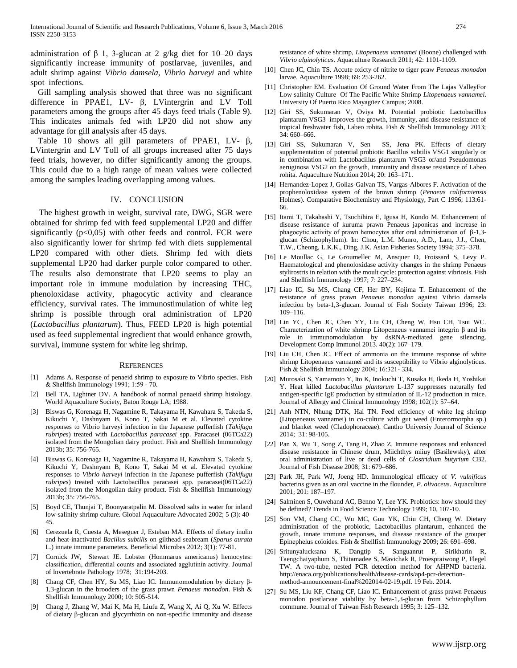administration of β 1, 3-glucan at 2 g/kg diet for 10–20 days significantly increase immunity of postlarvae, juveniles, and adult shrimp against *Vibrio damsela, Vibrio harveyi* and white spot infections.

Gill sampling analysis showed that three was no significant difference in PPAE1, LV- β, LVintergrin and LV Toll parameters among the groups after 45 days feed trials (Table 9). This indicates animals fed with LP20 did not show any advantage for gill analysis after 45 days.

Table 10 shows all gill parameters of PPAE1, LV- β, LVintergrin and LV Toll of all groups increased after 75 days feed trials, however, no differ significantly among the groups. This could due to a high range of mean values were collected among the samples leading overlapping among values.

#### IV. CONCLUSION

The highest growth in weight, survival rate, DWG, SGR were obtained for shrimp fed with feed supplemental LP20 and differ significantly  $(p<0.05)$  with other feeds and control. FCR were also significantly lower for shrimp fed with diets supplemental LP20 compared with other diets. Shrimp fed with diets supplemental LP20 had darker purple color compared to other. The results also demonstrate that LP20 seems to play an important role in immune modulation by increasing THC, phenoloxidase activity, phagocytic activity and clearance efficiency, survival rates. The immunostimulation of white leg shrimp is possible through oral administration of LP20 (*Lactobacillus plantarum*). Thus, FEED LP20 is high potential used as feed supplemental ingredient that would enhance growth, survival, immune system for white leg shrimp.

#### **REFERENCES**

- [1] Adams A. Response of penaeid shrimp to exposure to Vibrio species. Fish & Shellfish Immunology 1991; 1:59 - 70.
- [2] Bell TA, Lightner DV. A handbook of normal penaeid shrimp histology. World Aquaculture Society, Baton Rouge LA; 1988.
- [3] Biswas G, Korenaga H, Nagamine R, Takayama H, Kawahara S, Takeda S, Kikuchi Y, Dashnyam B, Kono T, Sakai M et al. Elevated cytokine responses to Vibrio harveyi infection in the Japanese pufferfish (*Takifugu rubripes*) treated with *Lactobacillus paracasei* spp. Paracasei (06TCa22) isolated from the Mongolian dairy product. Fish and Shellfish Immunology 2013b; 35: 756-765.
- [4] Biswas G, Korenaga H, Nagamine R, Takayama H, Kawahara S, Takeda S, Kikuchi Y, Dashnyam B, Kono T, Sakai M et al. Elevated cytokine responses to *Vibrio harveyi* infection in the Japanese pufferfish (*Takifugu rubripes*) treated with Lactobacillus paracasei spp. paracasei(06TCa22) isolated from the Mongolian dairy product. Fish & Shellfish Immunology 2013b; 35: 756-765.
- [5] Boyd CE, Thunjai T, Boonyaratpalin M. Dissolved salts in water for inland low-salinity shrimp culture. Global Aquaculture Advocated 2002; 5 (3): 40– 45.
- [6] Cerezuela R, Cuesta A, Meseguer J, Esteban MA. Effects of dietary inulin and heat-inactivated *Bacillus subtilis* on gilthead seabream (*Sparus aurata* L.) innate immune parameters. Beneficial Microbes 2012; 3(1): 77-81.
- [7] Cornick JW, Stewart JE. Lobster (Hommarus americanus) hemocytes: classification, differential counts and associated agglutinin activity. Journal of Invertebrate Pathology 1978; 31:194-203.
- [8] Chang CF, Chen HY, Su MS, Liao IC. Immunomodulation by dietary β-1,3-glucan in the brooders of the grass prawn *Penaeus monodon*. Fish & Shellfish Immunology 2000; 10: 505-514.
- [9] Chang J, Zhang W, Mai K, Ma H, Liufu Z, Wang X, Ai Q, Xu W. Effects of dietary β-glucan and glycyrrhizin on non-specific immunity and disease

resistance of white shrimp, *Litopenaeus vannamei* (Boone) challenged with *Vibrio alginolyticus*. Aquaculture Research 2011; 42: 1101-1109.

- [10] Chen JC, Chin TS. Accute oxicty of nitrite to tiger praw *Penaeus monodon* larvae. Aquaculture 1998; 69: 253-262.
- [11] Christopher EM. Evaluation Of Ground Water From The Lajas ValleyFor Low salinity Culture Of The Pacific White Shrimp *Litopenaeus vannamei*. University Of Puerto Rico Mayagüez Campus; 2008.
- [12] Giri SS, Sukumaran V, Oviya M. Potential probiotic Lactobacillus plantarum VSG3 improves the growth, immunity, and disease resistance of tropical freshwater fish, Labeo rohita. Fish & Shellfish Immunology 2013; 34: 660–666.
- [13] Giri SS, Sukumaran V, Sen SS, Jena PK. Effects of dietary supplementation of potential probiotic Bacillus subtilis VSG1 singularly or in combination with Lactobacillus plantarum VSG3 or/and Pseudomonas aeruginosa VSG2 on the growth, immunity and disease resistance of Labeo rohita. Aquaculture Nutrition 2014; 20: 163–171.
- [14] Hernandez-Lopez J, Gollas-Galvan TS, Vargas-Albores F. Activation of the prophenoloxidase system of the brown shrimp (*Penaeus californiensis* Holmes). Comparative Biochemistry and Physiology, Part C 1996; 113:61- 66.
- [15] Itami T, Takahashi Y, Tsuchihira E, Igusa H, Kondo M. Enhancement of disease resistance of kuruma prawn Penaeus japonicas and increase in phagocytic activity of prawn hemocytes after oral administration of β-1,3 glucan (Schizophyllum). In: Chou, L.M. Munro, A.D., Lam, J.J., Chen, T.W., Cheong, L.K.K., Ding, J.K. Asian Fisheries Society 1994; 375–378.
- [16] Le Moullac G, Le Groumellec M, Ansquer D, Froissard S, Levy P. Haematological and phenoloxidase activity changes in the shrimp Penaeus stylirostris in relation with the moult cycle: protection against vibriosis. Fish and Shellfish Immunology 1997; 7: 227–234.
- [17] Liao IC, Su MS, Chang CF, Her BY, Kojima T. Enhancement of the resistance of grass prawn *Penaeus monodon* against Vibrio damsela infection by beta-1,3-glucan. Journal of Fish Society Taiwan 1996; 23: 109–116.
- [18] Lin YC, Chen JC, Chen YY, Liu CH, Cheng W, Hsu CH, Tsui WC. Characterization of white shrimp Litopenaeus vannamei integrin β and its role in immunomodulation by dsRNA-mediated gene silencing. Development Comp Immunol 2013. 40(2): 167–179.
- [19] Liu CH, Chen JC. Effect of ammonia on the immune response of white shrimp Litopenaeus vannamei and its susceptibility to Vibrio alginolyticus. Fish & Shellfish Immunology 2004; 16:321- 334.
- [20] Murosaki S, Yamamoto Y, Ito K, Inokuchi T, Kusaka H, Ikeda H, Yoshikai Y. Heat killed *Lactobacillus plantarum* L-137 suppresses naturally fed antigen-specific IgE production by stimulation of IL-12 production in mice. Journal of Allergy and Clinical Immunology 1998; 102(1): 57–64.
- [21] Anh NTN, Nhung DTK, Hai TN. Feed efficiency of white leg shrimp (Litopeneaus vannamei) in co-culture with gut weed (Enterormorpha sp.) and blanket weed (Cladophoraceae). Cantho Universiy Journal of Science 2014; 31: 98-105.
- [22] Pan X, Wu T, Song Z, Tang H, Zhao Z. Immune responses and enhanced disease resistance in Chinese drum, Miichthys miiuy (Basilewsky), after oral administration of live or dead cells of *Clostridium butyrium* CB2. Journal of Fish Disease 2008; 31: 679–686.
- [23] Park JH, Park WJ, Joeng HD. Immunological efficacy of *V. vulnificus* bacterins given as an oral vaccine in the flounder, *P. olivaceus*. Aquaculture 2001; 201: 187–197.
- [24] Salminen S, Ouwehand AC, Benno Y, Lee YK. Probiotics: how should they be defined? Trends in Food Science Technology 1999; 10, 107-10.
- [25] Son VM, Chang CC, Wu MC, Guu YK, Chiu CH, Cheng W. Dietary administration of the probiotic, Lactobacillus plantarum, enhanced the growth, innate immune responses, and disease resistance of the grouper Epinephelus coioides. Fish & Shellfish Immunology 2009; 26: 691–698.
- [26] Sritunyalucksana K, Dangtip S, Sanguanrut P, Sirikharin R, Taengchaiyaphum S, Thitamadee S, Mavichak R, Proespraiwong P, Flegel TW. A two-tube, nested PCR detection method for AHPND bacteria. http://enaca.org/publications/health/disease-cards/ap4-pcr-detectionmethod-announcement-final%202014-02-19.pdf. 19 Feb. 2014.
- [27] Su MS, Liu KF, Chang CF, Liao IC. Enhancement of grass prawn Penaeus monodon postlarvae viability by beta-1,3-glucan from Schizophyllum commune. Journal of Taiwan Fish Research 1995; 3: 125–132.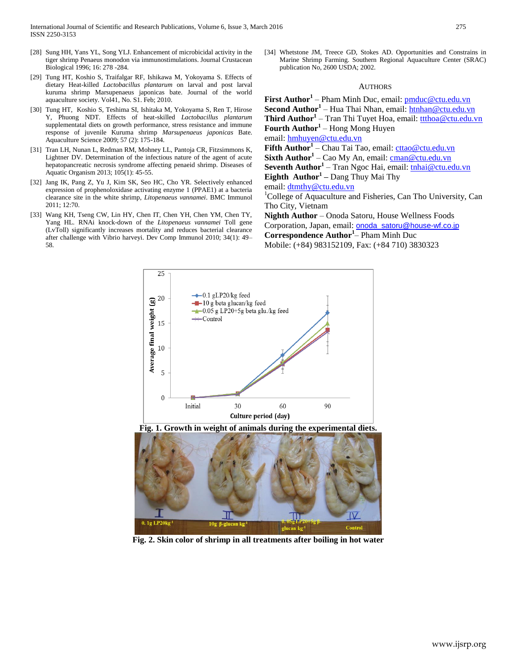- [28] Sung HH, Yans YL, Song YLJ. Enhancement of microbicidal activity in the tiger shrimp Penaeus monodon via immunostimulations. Journal Crustacean Biological 1996; 16: 278 -284.
- [29] Tung HT, Koshio S, Traifalgar RF, Ishikawa M, Yokoyama S. Effects of dietary Heat-killed *Lactobacillus plantarum* on larval and post larval kuruma shrimp Marsupenaeus japonicas bate. Journal of the world aquaculture society. Vol41, No. S1. Feb; 2010.
- [30] Tung HT, Koshio S, Teshima SI, Ishitaka M, Yokoyama S, Ren T, Hirose Y, Phuong NDT. Effects of heat-skilled *Lactobacillus plantarum*  supplementatal diets on growth performance, stress resistance and immune response of juvenile Kuruma shrimp *Marsupenaeus japonicas* Bate. Aquaculture Science 2009; 57 (2): 175-184.
- [31] Tran LH, Nunan L, Redman RM, Mohney LL, Pantoja CR, Fitzsimmons K, Lightner DV. Determination of the infectious nature of the agent of acute hepatopancreatic necrosis syndrome affecting penaeid shrimp. Diseases of Aquatic Organism 2013; 105(1): 45-55.
- [32] Jang IK, Pang Z, Yu J, Kim SK, Seo HC, Cho YR. Selectively enhanced expression of prophenoloxidase activating enzyme 1 (PPAE1) at a bacteria clearance site in the white shrimp, *Litopenaeus vannamei*. BMC Immunol 2011; 12:70.
- [33] Wang KH, Tseng CW, Lin HY, Chen IT, Chen YH, Chen YM, Chen TY, Yang HL. RNAi knock-down of the *Litopenaeus vannamei* Toll gene (LvToll) significantly increases mortality and reduces bacterial clearance after challenge with Vibrio harveyi. Dev Comp Immunol 2010; 34(1): 49– 58.

[34] Whetstone JM, Treece GD, Stokes AD. Opportunities and Constrains in Marine Shrimp Farming. Southern Regional Aquaculture Center (SRAC) publication No, 2600 USDA; 2002.

#### AUTHORS

**First Author<sup>1</sup>** – Pham Minh Duc, email: [pmduc@ctu.edu.vn](mailto:pmduc@ctu.edu.vn) **Second Author<sup>1</sup>** – Hua Thai Nhan, email: [htnhan@ctu.edu.vn](mailto:htnhan@ctu.edu.vn) **Third Author<sup>1</sup>** – Tran Thi Tuyet Hoa, email: [ttthoa@ctu.edu.vn](mailto:ttthoa@ctu.edu.vn) **Fourth Author<sup>1</sup>** – Hong Mong Huyen email: <u>[hmhuyen@ctu.edu.vn](mailto:hmhuyen@ctu.edu.vn)</u> **Fifth Author<sup>1</sup>** – Chau Tai Tao, email[: cttao@ctu.edu.vn](mailto:cttao@ctu.edu.vn) **Sixth Author<sup>1</sup>** – Cao My An, email: [cman@ctu.edu.vn](mailto:cman@ctu.edu.vn) **Seventh Author<sup>1</sup>** – Tran Ngoc Hai, email: [tnhai@ctu.edu.vn](mailto:tnhai@ctu.edu.vn) **Eighth Author<sup>1</sup> –** Dang Thuy Mai Thy email[: dtmthy@ctu.edu.vn](mailto:dtmthy@ctu.edu.vn) <sup>1</sup>College of Aquaculture and Fisheries, Can Tho University, Can Tho City, Vietnam **Nighth Author** – Onoda Satoru, House Wellness Foods Corporation, Japan, email: **[onoda\\_satoru@house-wf.co.jp](mailto:onoda_satoru@house-wf.co.jp) Correspondence Author<sup>1</sup>** – Pham Minh Duc Mobile: (+84) 983152109, Fax: (+84 710) 3830323



**Fig. 1. Growth in weight of animals during the experimental diets.**



**Fig. 2. Skin color of shrimp in all treatments after boiling in hot water**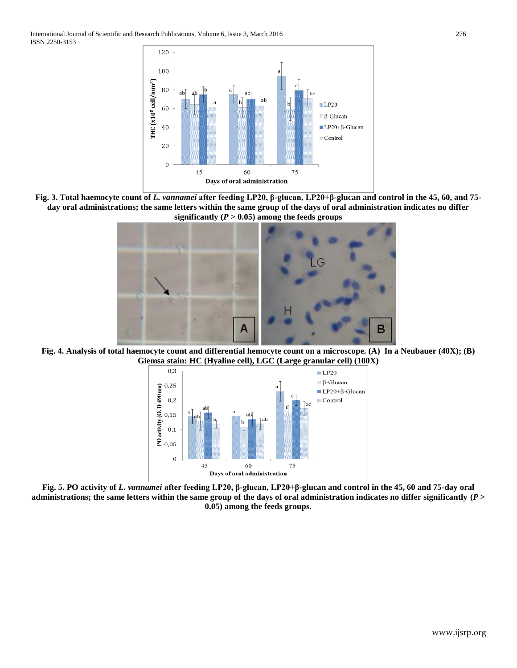International Journal of Scientific and Research Publications, Volume 6, Issue 3, March 2016 276 ISSN 2250-3153



**Fig. 3. Total haemocyte count of** *L. vannamei* **after feeding LP20, β-glucan, LP20+β-glucan and control in the 45, 60, and 75 day oral administrations; the same letters within the same group of the days of oral administration indicates no differ**  significantly  $(P > 0.05)$  among the feeds groups



**Fig. 4. Analysis of total haemocyte count and differential hemocyte count on a microscope. (A) In a Neubauer (40X); (B) Giemsa stain: HC (Hyaline cell), LGC (Large granular cell) (100X)**



**Fig. 5. PO activity of** *L. vannamei* **after feeding LP20, β-glucan, LP20+β-glucan and control in the 45, 60 and 75-day oral administrations; the same letters within the same group of the days of oral administration indicates no differ significantly (***P* **> 0.05) among the feeds groups.**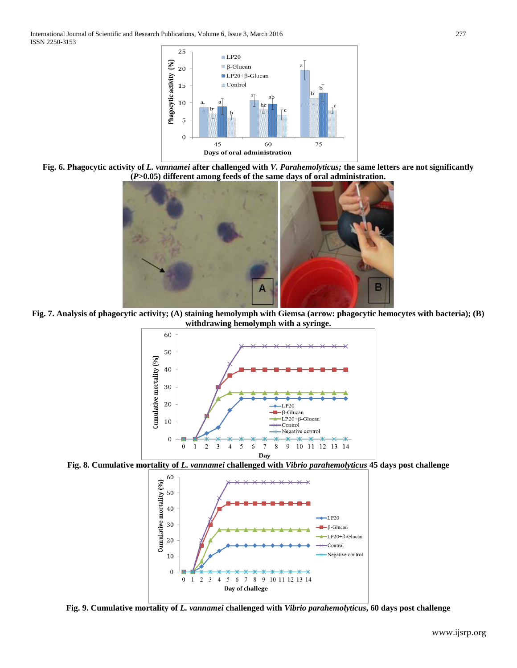

**Fig. 6. Phagocytic activity of** *L. vannamei* **after challenged with** *V. Parahemolyticus;* **the same letters are not significantly (***P***>0.05) different among feeds of the same days of oral administration.**



**Fig. 7. Analysis of phagocytic activity; (A) staining hemolymph with Giemsa (arrow: phagocytic hemocytes with bacteria); (B) withdrawing hemolymph with a syringe.**



**Fig. 8. Cumulative mortality of** *L. vannamei* **challenged with** *Vibrio parahemolyticus* **45 days post challenge**



**Fig. 9. Cumulative mortality of** *L. vannamei* **challenged with** *Vibrio parahemolyticus***, 60 days post challenge**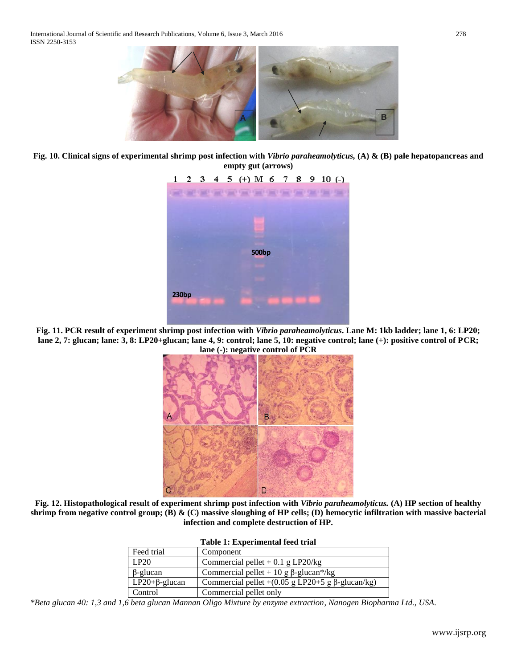

**Fig. 10. Clinical signs of experimental shrimp post infection with** *Vibrio paraheamolyticus,* **(A) & (B) pale hepatopancreas and empty gut (arrows)**

|       |  |  | $1 \t2 \t3 \t4 \t5 (+) M \t6 \t7 \t8 \t9 \t10 (-)$                                                                   |              |  |  |  |
|-------|--|--|----------------------------------------------------------------------------------------------------------------------|--------------|--|--|--|
|       |  |  | <b>A CANNER A CANNER A CANNER A CANNER A CANNER A CANNER A CANNER A CANNER A CANNER A CANNER A CANNER A CANNER A</b> |              |  |  |  |
|       |  |  |                                                                                                                      |              |  |  |  |
|       |  |  |                                                                                                                      |              |  |  |  |
|       |  |  |                                                                                                                      |              |  |  |  |
|       |  |  |                                                                                                                      |              |  |  |  |
|       |  |  |                                                                                                                      | <b>500bp</b> |  |  |  |
|       |  |  |                                                                                                                      |              |  |  |  |
|       |  |  |                                                                                                                      |              |  |  |  |
| 230bp |  |  |                                                                                                                      |              |  |  |  |
|       |  |  |                                                                                                                      |              |  |  |  |
|       |  |  |                                                                                                                      |              |  |  |  |

**Fig. 11. PCR result of experiment shrimp post infection with** *Vibrio paraheamolyticus***. Lane M: 1kb ladder; lane 1, 6: LP20; lane 2, 7: glucan; lane: 3, 8: LP20+glucan; lane 4, 9: control; lane 5, 10: negative control; lane (+): positive control of PCR;** 



**Fig. 12. Histopathological result of experiment shrimp post infection with** *Vibrio paraheamolyticus.* **(A) HP section of healthy shrimp from negative control group; (B) & (C) massive sloughing of HP cells; (D) hemocytic infiltration with massive bacterial infection and complete destruction of HP.**

|                      | Table 1: Experimental feed trial                        |
|----------------------|---------------------------------------------------------|
| Feed trial           | Component                                               |
| LP20                 | Commercial pellet + 0.1 g LP20/kg                       |
| $\beta$ -glucan      | Commercial pellet + 10 g $\beta$ -glucan*/kg            |
| $LP20+\beta$ -glucan | Commercial pellet +(0.05 g LP20+5 g $\beta$ -glucan/kg) |
| Control              | Commercial pellet only                                  |

*\*Beta glucan 40: 1,3 and 1,6 beta glucan Mannan Oligo Mixture by enzyme extraction, Nanogen Biopharma Ltd., USA.*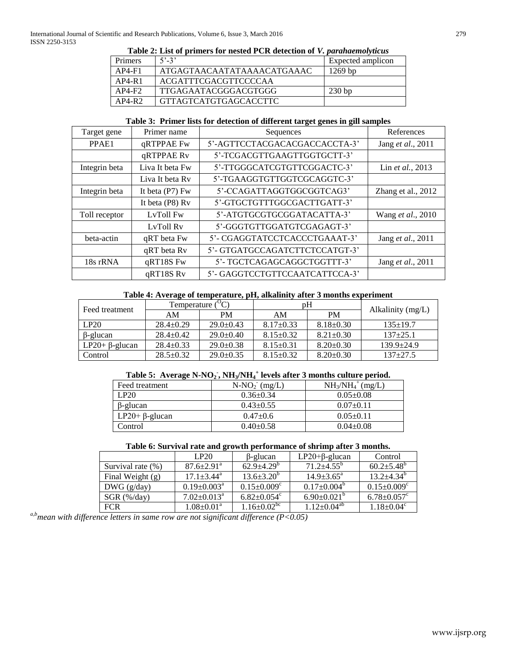|                | <b>Table 2: List of primers for nested FCK detection of <i>v</i>. <i>parandemotyticus</i></b> |                   |
|----------------|-----------------------------------------------------------------------------------------------|-------------------|
| <b>Primers</b> | $5' - 3'$                                                                                     | Expected amplicon |
| $AP4-F1$       | ATGAGTAACAATATAAAAACATGAAAC                                                                   | $1269$ bp         |
| $AP4-R1$       | ACGATTTCGACGTTCCCCAA                                                                          |                   |
| $AP4-F2$       | TTGAGAATACGGGACGTGGG                                                                          | $230$ bp          |
| $AP4-R2$       | GTTAGTCATGTGAGCACCTTC                                                                         |                   |

# **Table 2: List of primers for nested PCR detection of** *V. parahaemolyticus*

# **Table 3: Primer lists for detection of different target genes in gill samples**

| Target gene<br>Primer name |                 | Sequences                      | References                |
|----------------------------|-----------------|--------------------------------|---------------------------|
| PPAE1                      | qRTPPAE Fw      | 5'-AGTTCCTACGACACGACCACCTA-3'  | Jang et al., 2011         |
|                            | qRTPPAE Rv      | 5'-TCGACGTTGAAGTTGGTGCTT-3'    |                           |
| Integrin beta              | Liva It beta Fw | 5'-TTGGGCATCGTGTTCGGACTC-3'    | Lin et al., 2013          |
|                            | Liva It beta Rv | 5'-TGAAGGTGTTGGTCGCAGGTC-3'    |                           |
| Integrin beta              | It beta (P7) Fw | 5'-CCAGATTAGGTGGCGGTCAG3'      | Zhang et al., 2012        |
|                            | It beta (P8) Rv | 5'-GTGCTGTTTGGCGACTTGATT-3'    |                           |
| Toll receptor              | LvToll Fw       | 5'-ATGTGCGTGCGGATACATTA-3'     | Wang <i>et al.</i> , 2010 |
|                            | LyToll Ry       | 5'-GGGTGTTGGATGTCGAGAGT-3'     |                           |
| beta-actin                 | qRT beta Fw     | 5'- CGAGGTATCCTCACCCTGAAAT-3'  | Jang et al., 2011         |
|                            | qRT beta Rv     | 5'- GTGATGCCAGATCTTCTCCATGT-3' |                           |
| 18s rRNA                   | qRT18S Fw       | 5'- TGCTCAGAGCAGGCTGGTTT-3'    | Jang et al., 2011         |
|                            | qRT18S Rv       | 5'-GAGGTCCTGTTCCAATCATTCCA-3'  |                           |

# **Table 4: Average of temperature, pH, alkalinity after 3 months experiment**

| Feed treatment        | Temperature (   | $^{\circ}$ C)   | pΗ              |                 |                   |
|-----------------------|-----------------|-----------------|-----------------|-----------------|-------------------|
|                       | AM              | <b>PM</b>       | ΑM              | <b>PM</b>       | Alkalinity (mg/L) |
| LP20                  | $28.4 \pm 0.29$ | $29.0 \pm 0.43$ | $8.17 \pm 0.33$ | $8.18 \pm 0.30$ | $135+19.7$        |
| $\beta$ -glucan       | $28.4 \pm 0.42$ | $29.0 \pm 0.40$ | $8.15 \pm 0.32$ | $8.21 \pm 0.30$ | $137+25.1$        |
| LP20+ $\beta$ -glucan | $28.4 \pm 0.33$ | $29.0 \pm 0.38$ | $8.15 \pm 0.31$ | $8.20 \pm 0.30$ | $139.9 + 24.9$    |
| Control               | $28.5 \pm 0.32$ | $29.0 \pm 0.35$ | $8.15 \pm 0.32$ | $8.20 \pm 0.30$ | $137+27.5$        |

# **Table 5: Average N-NO<sup>2</sup> - , NH3/NH<sup>4</sup> + levels after 3 months culture period.**

| Feed treatment         | $N-NO_2$ (mg/L) | $NH3/NH4+(mg/L)$ |
|------------------------|-----------------|------------------|
| LP20                   | $0.36 \pm 0.34$ | $0.05 \pm 0.08$  |
| $\beta$ -glucan        | $0.43 + 0.55$   | $0.07 \pm 0.11$  |
| $LP20 + \beta$ -glucan | $0.47+0.6$      | $0.05+0.11$      |
| Control                | $0.40 \pm 0.58$ | $0.04 \pm 0.08$  |

# **Table 6: Survival rate and growth performance of shrimp after 3 months.**

|                    | LP20                         | $\beta$ -glucan               | $LP20+\beta$ -glucan       | Control                       |
|--------------------|------------------------------|-------------------------------|----------------------------|-------------------------------|
| Survival rate (%)  | $87.6 \pm 2.91$ <sup>a</sup> | $62.9 + 4.29^b$               | $71.2 + 4.55^b$            | $60.2 + 5.48^b$               |
| Final Weight $(g)$ | $17.1 \pm 3.44^{\text{a}}$   | $13.6 \pm 3.20^{\circ}$       | $14.9 \pm 3.65^{\text{a}}$ | $13.2 + 4.34^{\circ}$         |
| DWG (g/day)        | $0.19 \pm 0.003^{\text{a}}$  | $0.15 \pm 0.009^{\circ}$      | $0.17 \pm 0.004^{\circ}$   | $0.15 \pm 0.009$ <sup>c</sup> |
| $SGR$ (%/day)      | $7.02 \pm 0.013^{\text{a}}$  | $6.82 \pm 0.054$ <sup>c</sup> | $6.90 \pm 0.021^{\circ}$   | $6.78 \pm 0.057$ <sup>c</sup> |
| <b>FCR</b>         | $1.08 \pm 0.01^{\text{a}}$   | $1.16 \pm 0.02^{\rm bc}$      | $1.12 \pm 0.04^{ab}$       | $1.18 \pm 0.04^c$             |

*a,bmean with difference letters in same row are not significant difference (P<0.05)*